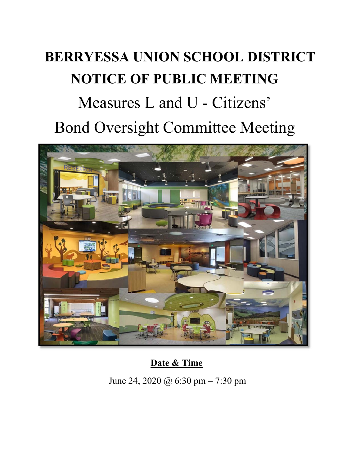## **BERRYESSA UNION SCHOOL DISTRICT NOTICE OF PUBLIC MEETING**  Measures L and U - Citizens' Bond Oversight Committee Meeting



**Date & Time** 

June 24, 2020 @ 6:30 pm – 7:30 pm